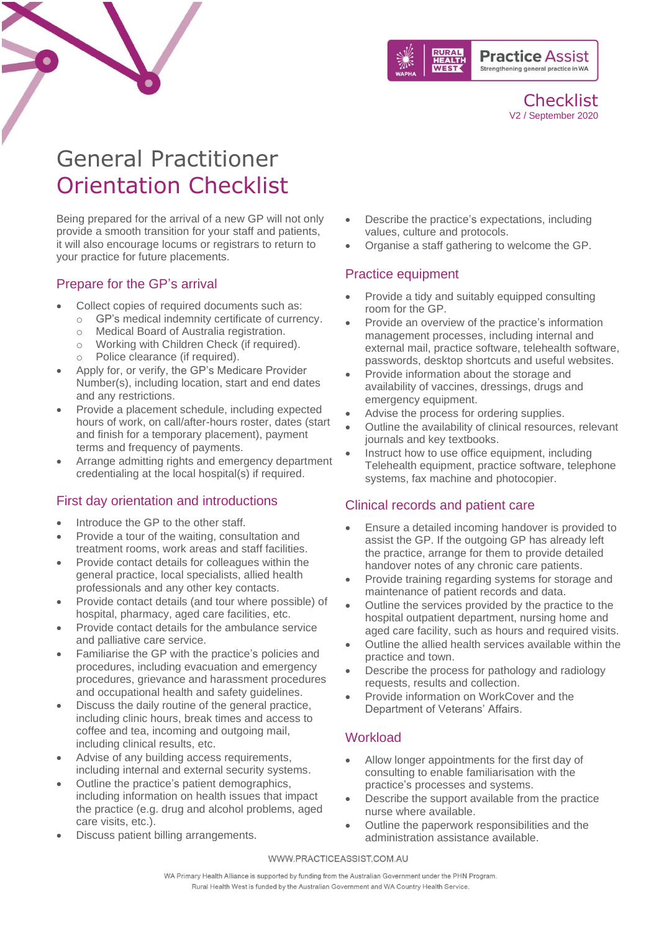

**Checklist** V2 / September 2020

# General Practitioner Orientation Checklist

Being prepared for the arrival of a new GP will not only provide a smooth transition for your staff and patients, it will also encourage locums or registrars to return to your practice for future placements.

## Prepare for the GP's arrival

- Collect copies of required documents such as:
	- o GP's medical indemnity certificate of currency.
	- o Medical Board of Australia registration.
	- o Working with Children Check (if required).
	- o Police clearance (if required).
- Apply for, or verify, the GP's Medicare Provider Number(s), including location, start and end dates and any restrictions.
- Provide a placement schedule, including expected hours of work, on call/after-hours roster, dates (start and finish for a temporary placement), payment terms and frequency of payments.
- Arrange admitting rights and emergency department credentialing at the local hospital(s) if required.

# First day orientation and introductions

- Introduce the GP to the other staff.
- Provide a tour of the waiting, consultation and treatment rooms, work areas and staff facilities.
- Provide contact details for colleagues within the general practice, local specialists, allied health professionals and any other key contacts.
- Provide contact details (and tour where possible) of hospital, pharmacy, aged care facilities, etc.
- Provide contact details for the ambulance service and palliative care service.
- Familiarise the GP with the practice's policies and procedures, including evacuation and emergency procedures, grievance and harassment procedures and occupational health and safety guidelines.
- Discuss the daily routine of the general practice, including clinic hours, break times and access to coffee and tea, incoming and outgoing mail, including clinical results, etc.
- Advise of any building access requirements, including internal and external security systems.
- Outline the practice's patient demographics, including information on health issues that impact the practice (e.g. drug and alcohol problems, aged care visits, etc.).
- Discuss patient billing arrangements.
- Describe the practice's expectations, including values, culture and protocols.
- Organise a staff gathering to welcome the GP.

## Practice equipment

- Provide a tidy and suitably equipped consulting room for the GP.
- Provide an overview of the practice's information management processes, including internal and external mail, practice software, telehealth software, passwords, desktop shortcuts and useful websites.
- Provide information about the storage and availability of vaccines, dressings, drugs and emergency equipment.
- Advise the process for ordering supplies.
- Outline the availability of clinical resources, relevant journals and key textbooks.
- Instruct how to use office equipment, including Telehealth equipment, practice software, telephone systems, fax machine and photocopier.

# Clinical records and patient care

- Ensure a detailed incoming handover is provided to assist the GP. If the outgoing GP has already left the practice, arrange for them to provide detailed handover notes of any chronic care patients.
- Provide training regarding systems for storage and maintenance of patient records and data.
- Outline the services provided by the practice to the hospital outpatient department, nursing home and aged care facility, such as hours and required visits.
- Outline the allied health services available within the practice and town.
- Describe the process for pathology and radiology requests, results and collection.
- Provide information on WorkCover and the Department of Veterans' Affairs.

# **Workload**

- Allow longer appointments for the first day of consulting to enable familiarisation with the practice's processes and systems.
- Describe the support available from the practice nurse where available.
- Outline the paperwork responsibilities and the administration assistance available.

#### WWW.PRACTICEASSIST.COM.AU